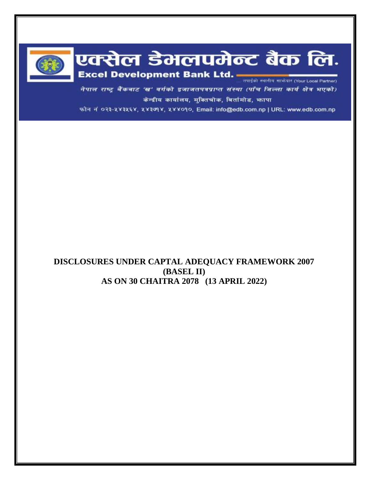

# एक्सेल डेमलपमेन्ट बैंक लि. Excel Development Bank Ltd.

नेपाल राष्ट्र बैंकबाट 'ख' वर्गको इजाजतपत्रप्राप्त संस्था (पाँच जिल्ला कार्य क्षेत्र भएको) केन्द्रीय कार्यालय, मुक्तिचोक, बिर्तामोड, फापा

फोन नं ०२३-५४३५६४, ५४३७१४, ५४४०१०, Email: info@edb.com.np | URL: www.edb.com.np

# **DISCLOSURES UNDER CAPTAL ADEQUACY FRAMEWORK 2007 (BASEL II) AS ON 30 CHAITRA 2078 (13 APRIL 2022)**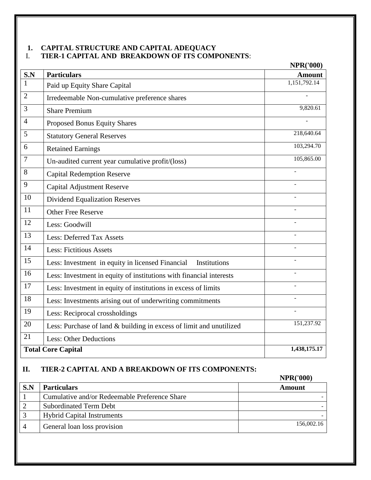## **1. CAPITAL STRUCTURE AND CAPITAL ADEQUACY** I. **TIER-1 CAPITAL AND BREAKDOWN OF ITS COMPONENTS**:

|                |                                                                     | <b>NPR('000)</b> |
|----------------|---------------------------------------------------------------------|------------------|
| S.N            | <b>Particulars</b>                                                  | <b>Amount</b>    |
| 1              | Paid up Equity Share Capital                                        | 1,151,792.14     |
| $\overline{2}$ | Irredeemable Non-cumulative preference shares                       |                  |
| 3              | <b>Share Premium</b>                                                | 9,820.61         |
| $\overline{4}$ | Proposed Bonus Equity Shares                                        |                  |
| 5              | <b>Statutory General Reserves</b>                                   | 218,640.64       |
| 6              | <b>Retained Earnings</b>                                            | 103,294.70       |
| 7              | Un-audited current year cumulative profit/(loss)                    | 105,865.00       |
| 8              | <b>Capital Redemption Reserve</b>                                   |                  |
| 9              | <b>Capital Adjustment Reserve</b>                                   |                  |
| 10             | <b>Dividend Equalization Reserves</b>                               |                  |
| 11             | <b>Other Free Reserve</b>                                           |                  |
| 12             | Less: Goodwill                                                      |                  |
| 13             | <b>Less: Deferred Tax Assets</b>                                    |                  |
| 14             | <b>Less: Fictitious Assets</b>                                      | ٠                |
| 15             | Less: Investment in equity in licensed Financial<br>Institutions    |                  |
| 16             | Less: Investment in equity of institutions with financial interests |                  |
| 17             | Less: Investment in equity of institutions in excess of limits      |                  |
| 18             | Less: Investments arising out of underwriting commitments           |                  |
| 19             | Less: Reciprocal crossholdings                                      |                  |
| 20             | Less: Purchase of land & building in excess of limit and unutilized | 151,237.92       |
| 21             | <b>Less: Other Deductions</b>                                       |                  |
|                | <b>Total Core Capital</b>                                           | 1,438,175.17     |

## **II. TIER-2 CAPITAL AND A BREAKDOWN OF ITS COMPONENTS:**

|                |                                               | <b>NPR('000)</b> |
|----------------|-----------------------------------------------|------------------|
| S.N            | <b>Particulars</b>                            | Amount           |
|                | Cumulative and/or Redeemable Preference Share |                  |
|                | <b>Subordinated Term Debt</b>                 |                  |
|                | <b>Hybrid Capital Instruments</b>             |                  |
| $\overline{4}$ | General loan loss provision                   | 156,002.16       |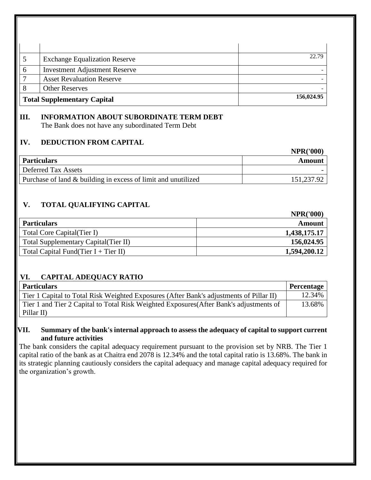| <b>Exchange Equalization Reserve</b> | 22.79      |
|--------------------------------------|------------|
| <b>Investment Adjustment Reserve</b> |            |
| <b>Asset Revaluation Reserve</b>     |            |
| <b>Other Reserves</b>                |            |
| <b>Total Supplementary Capital</b>   | 156,024.95 |

# **III. INFORMATION ABOUT SUBORDINATE TERM DEBT**

The Bank does not have any subordinated Term Debt

## **IV. DEDUCTION FROM CAPITAL**

|                                                               | <b>NPR('000)</b> |
|---------------------------------------------------------------|------------------|
| <b>Particulars</b>                                            | Amount           |
| Deferred Tax Assets                                           |                  |
| Purchase of land & building in excess of limit and unutilized | 151,237.92       |

**NPR('000)**

**NPD('000)** 

# **V. TOTAL QUALIFYING CAPITAL**

|                                       | NPR(TOUU)    |
|---------------------------------------|--------------|
| <b>Particulars</b>                    | Amount       |
| Total Core Capital (Tier I)           | 1,438,175.17 |
| Total Supplementary Capital (Tier II) | 156,024.95   |
| Total Capital Fund(Tier I + Tier II)  | 1,594,200.12 |

# **VI. CAPITAL ADEQUACY RATIO**

| <b>Particulars</b>                                                                      | Percentage |
|-----------------------------------------------------------------------------------------|------------|
| Tier 1 Capital to Total Risk Weighted Exposures (After Bank's adjustments of Pillar II) | 12.34%     |
| Tier 1 and Tier 2 Capital to Total Risk Weighted Exposures (After Bank's adjustments of | 13.68%     |
| Pillar $II$ )                                                                           |            |

**VII. Summary of the bank's internal approach to assess the adequacy of capital to support current and future activities**

The bank considers the capital adequacy requirement pursuant to the provision set by NRB. The Tier 1 capital ratio of the bank as at Chaitra end 2078 is 12.34% and the total capital ratio is 13.68%. The bank in its strategic planning cautiously considers the capital adequacy and manage capital adequacy required for the organization's growth.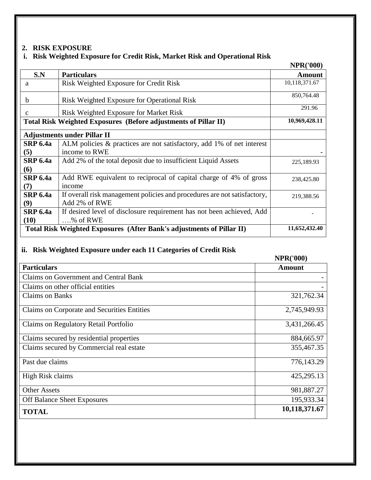## **2. RISK EXPOSURE**

## **i. Risk Weighted Exposure for Credit Risk, Market Risk and Operational Risk**

|                         |                                                                                           | <b>NPR('000)</b> |
|-------------------------|-------------------------------------------------------------------------------------------|------------------|
| S.N                     | <b>Particulars</b>                                                                        | <b>Amount</b>    |
| a                       | Risk Weighted Exposure for Credit Risk                                                    | 10,118,371.67    |
| $\mathbf b$             | Risk Weighted Exposure for Operational Risk                                               | 850,764.48       |
| $\mathbf{C}$            | Risk Weighted Exposure for Market Risk                                                    | 291.96           |
|                         | Total Risk Weighted Exposures (Before adjustments of Pillar II)                           | 10,969,428.11    |
|                         | <b>Adjustments under Pillar II</b>                                                        |                  |
| <b>SRP 6.4a</b><br>(5)  | ALM policies & practices are not satisfactory, add 1% of net interest<br>income to RWE    |                  |
| <b>SRP 6.4a</b>         | Add 2% of the total deposit due to insufficient Liquid Assets                             |                  |
| (6)                     |                                                                                           | 225,189.93       |
| <b>SRP 6.4a</b><br>(7)  | Add RWE equivalent to reciprocal of capital charge of 4% of gross<br>income               | 238,425.80       |
| <b>SRP 6.4a</b><br>(9)  | If overall risk management policies and procedures are not satisfactory,<br>Add 2% of RWE | 219,388.56       |
| <b>SRP 6.4a</b><br>(10) | If desired level of disclosure requirement has not been achieved, Add<br>% of RWE         |                  |
|                         | Total Risk Weighted Exposures (After Bank's adjustments of Pillar II)                     | 11,652,432.40    |

## **ii. Risk Weighted Exposure under each 11 Categories of Credit Risk**

#### **NPR('000)**

|                                             | + 14 441 0007 |
|---------------------------------------------|---------------|
| <b>Particulars</b>                          | <b>Amount</b> |
| Claims on Government and Central Bank       |               |
| Claims on other official entities           |               |
| <b>Claims on Banks</b>                      | 321,762.34    |
| Claims on Corporate and Securities Entities | 2,745,949.93  |
| Claims on Regulatory Retail Portfolio       | 3,431,266.45  |
| Claims secured by residential properties    | 884,665.97    |
| Claims secured by Commercial real estate    | 355,467.35    |
| Past due claims                             | 776,143.29    |
| High Risk claims                            | 425,295.13    |
| <b>Other Assets</b>                         | 981,887.27    |
| <b>Off Balance Sheet Exposures</b>          | 195,933.34    |
| <b>TOTAL</b>                                | 10,118,371.67 |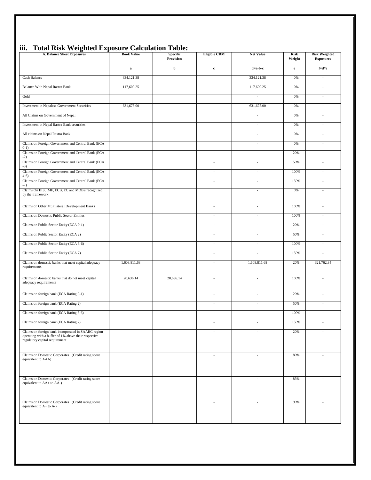| пп•<br>Tutal KISK WEIGHTU EXPOSULE                                                                                                            |                   | Calculation Table.           |                             |                          |                       |                                          |
|-----------------------------------------------------------------------------------------------------------------------------------------------|-------------------|------------------------------|-----------------------------|--------------------------|-----------------------|------------------------------------------|
| <b>A. Balance Sheet Exposures</b>                                                                                                             | <b>Book Value</b> | <b>Specific</b><br>Provision | <b>Eligible CRM</b>         | <b>Net Value</b>         | <b>Risk</b><br>Weight | <b>Risk Weighted</b><br><b>Exposures</b> |
|                                                                                                                                               | $\bf{a}$          | þ                            | $\mathbf c$                 | d=a-b-c                  | $\mathbf{e}$          | $f=d*e$                                  |
| Cash Balance                                                                                                                                  | 334,121.38        |                              |                             | 334,121.38               | 0%                    | $\overline{\phantom{a}}$                 |
| <b>Balance With Nepal Rastra Bank</b>                                                                                                         | 117,609.25        |                              |                             | 117,609.25               | $0\%$                 | $\sim$                                   |
| Gold                                                                                                                                          |                   |                              |                             | $\overline{\phantom{a}}$ | 0%                    | $\overline{\phantom{a}}$                 |
| Investment in Nepalese Government Securities                                                                                                  | 631,675.00        |                              |                             | 631,675.00               | 0%                    | $\sim$                                   |
| All Claims on Government of Nepal                                                                                                             |                   |                              |                             | $\sim$                   | 0%                    | ÷                                        |
| Investment in Nepal Rastra Bank securities                                                                                                    |                   |                              |                             | ÷,                       | 0%                    | $\sim$                                   |
| All claims on Nepal Rastra Bank                                                                                                               |                   |                              |                             | $\sim$                   | 0%                    | $\overline{\phantom{a}}$                 |
| Claims on Foreign Government and Central Bank (ECA<br>$0-1)$                                                                                  |                   |                              |                             | $\overline{\phantom{a}}$ | 0%                    | $\overline{\phantom{a}}$                 |
| Claims on Foreign Government and Central Bank (ECA<br>$-2)$                                                                                   |                   |                              | $\mathcal{L}_{\mathcal{A}}$ | $\overline{\phantom{a}}$ | 20%                   | $\sim$                                   |
| Claims on Foreign Government and Central Bank (ECA<br>$-3)$                                                                                   |                   |                              | $\overline{a}$              | ÷,                       | 50%                   | $\overline{\phantom{a}}$                 |
| Claims on Foreign Government and Central Bank (ECA-<br>$4-6)$                                                                                 |                   |                              | ÷,                          | $\sim$                   | 100%                  | ÷                                        |
| Claims on Foreign Government and Central Bank (ECA<br>$-7)$                                                                                   |                   |                              | $\overline{\phantom{a}}$    | $\overline{\phantom{a}}$ | 150%                  | $\overline{\phantom{a}}$                 |
| Claims On BIS, IMF, ECB, EC and MDB's recognized<br>by the framework                                                                          |                   |                              |                             | $\sim$                   | 0%                    |                                          |
| Claims on Other Multilateral Development Banks                                                                                                |                   |                              | $\overline{\phantom{a}}$    | $\overline{\phantom{a}}$ | 100%                  | $\overline{a}$                           |
| Claims on Domestic Public Sector Entities                                                                                                     |                   |                              | $\overline{\phantom{a}}$    | ÷,                       | 100%                  | $\overline{\phantom{a}}$                 |
| Claims on Public Sector Entity (ECA 0-1)                                                                                                      |                   |                              | $\overline{\phantom{a}}$    | ÷,                       | 20%                   | $\overline{\phantom{a}}$                 |
| Claims on Public Sector Entity (ECA 2)                                                                                                        |                   |                              | $\overline{\phantom{a}}$    | $\overline{\phantom{a}}$ | 50%                   | $\overline{\phantom{a}}$                 |
| Claims on Public Sector Entity (ECA 3-6)                                                                                                      |                   |                              | $\mathcal{L}_{\mathcal{A}}$ | $\sim$                   | 100%                  | $\sim$                                   |
| Claims on Public Sector Entity (ECA 7)                                                                                                        |                   |                              | $\overline{a}$              | $\sim$                   | 150%                  | ×,                                       |
| Claims on domestic banks that meet capital adequacy<br>requirements                                                                           | 1,608,811.68      |                              |                             | 1,608,811.68             | 20%                   | 321,762.34                               |
| Claims on domestic banks that do not meet capital<br>adequacy requirements                                                                    | 20,636.14         | 20,636.14                    | ÷,                          | $\sim$                   | 100%                  | $\overline{\phantom{a}}$                 |
| Claims on foreign bank (ECA Rating 0-1)                                                                                                       |                   |                              | $\overline{a}$              | ÷,                       | 20%                   | ×,                                       |
| Claims on foreign bank (ECA Rating 2)                                                                                                         |                   |                              | $\mathcal{L}_{\mathcal{A}}$ | $\overline{\phantom{a}}$ | 50%                   | $\sim$                                   |
| Claims on foreign bank (ECA Rating 3-6)                                                                                                       |                   |                              | ÷,                          | $\sim$                   | 100%                  | $\overline{\phantom{a}}$                 |
| Claims on foreign bank (ECA Rating 7)                                                                                                         |                   |                              |                             |                          | 150%                  |                                          |
| Claims on foreign bank incorporated in SAARC region<br>operating with a buffer of 1% above their respective<br>regulatory capital requirement |                   |                              | ÷                           | $\sim$                   | 20%                   |                                          |
| Claims on Domestic Corporates (Credit rating score<br>equivalent to AAA)                                                                      |                   |                              | ÷,                          | $\overline{\phantom{a}}$ | 80%                   | $\overline{\phantom{a}}$                 |
| Claims on Domestic Corporates (Credit rating score<br>equivalent to AA+ to AA-)                                                               |                   |                              | $\overline{\phantom{a}}$    | $\sim$                   | 85%                   | $\overline{\phantom{a}}$                 |
| Claims on Domestic Corporates (Credit rating score<br>equivalent to A+ to A-)                                                                 |                   |                              | $\overline{a}$              | $\overline{\phantom{a}}$ | 90%                   | ÷,                                       |

## **iii. Total Risk Weighted Exposure Calculation Table:**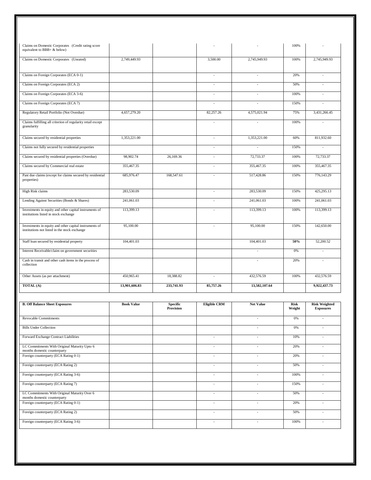| Claims on Domestic Corporates (Credit rating score<br>equivalent to BBB+ & below)                       |                   |                              |                          |                          | 100%           |                                          |
|---------------------------------------------------------------------------------------------------------|-------------------|------------------------------|--------------------------|--------------------------|----------------|------------------------------------------|
| Claims on Domestic Corporates (Unrated)                                                                 | 2,749,449.93      |                              | 3,500.00                 | 2,745,949.93             | 100%           | 2,745,949.93                             |
| Claims on Foreign Corporates (ECA 0-1)                                                                  |                   |                              |                          | L,                       | 20%            | ÷.                                       |
| Claims on Foreign Corporates (ECA 2)                                                                    |                   |                              | ÷,                       | $\sim$                   | 50%            | ÷,                                       |
| Claims on Foreign Corporates (ECA 3-6)                                                                  |                   |                              | $\sim$                   | $\sim$                   | 100%           | $\sim$                                   |
| Claims on Foreign Corporates (ECA 7)                                                                    |                   |                              | $\overline{\phantom{a}}$ | $\overline{a}$           | 150%           | $\overline{a}$                           |
| Regulatory Retail Portfolio (Not Overdue)                                                               | 4,657,279.20      |                              | 82,257.26                | 4,575,021.94             | 75%            | 3,431,266.45                             |
| Claims fulfilling all criterion of regularity retail except<br>granularity                              |                   |                              | $\sim$                   | $\sim$                   | 100%           | $\sim$                                   |
| Claims secured by residential properties                                                                | 1,353,221.00      |                              | ÷,                       | 1,353,221.00             | 60%            | 811,932.60                               |
| Claims not fully secured by residential properties                                                      |                   |                              | $\overline{\phantom{a}}$ | $\sim$                   | 150%           | $\overline{\phantom{a}}$                 |
| Claims secured by residential properties (Overdue)                                                      | 98,902.74         | 26,169.36                    | ÷,                       | 72,733.37                | 100%           | 72,733.37                                |
| Claims secured by Commercial real estate                                                                | 355,467.35        |                              |                          | 355,467.35               | 100%           | 355,467.35                               |
| Past due claims (except for claims secured by residential<br>properties)                                | 685,976.47        | 168,547.61                   | ÷,                       | 517,428.86               | 150%           | 776,143.29                               |
| High Risk claims                                                                                        | 283,530.09        |                              | $\sim$                   | 283,530.09               | 150%           | 425,295.13                               |
| Lending Against Securities (Bonds & Shares)                                                             | 241,061.03        |                              |                          | 241,061.03               | 100%           | 241,061.03                               |
| Investments in equity and other capital instruments of<br>institutions listed in stock exchange         | 113,399.13        |                              |                          | 113,399.13               | 100%           | 113,399.13                               |
| Investments in equity and other capital instruments of<br>institutions not listed in the stock exchange | 95,100.00         |                              | $\overline{\phantom{a}}$ | 95,100.00                | 150%           | 142,650.00                               |
| Staff loan secured by residential property                                                              | 104,401.03        |                              |                          | 104,401.03               | 50%            | 52,200.52                                |
| Interest Receivable/claim on government securities                                                      |                   |                              |                          | $\sim$                   | 0%             | $\sim$                                   |
| Cash in transit and other cash items in the process of<br>collection                                    |                   |                              |                          | $\sim$                   | 20%            | ÷                                        |
| Other Assets (as per attachment)                                                                        | 450,965.41        | 18,388.82                    | $\overline{\phantom{a}}$ | 432,576.59               | 100%           | 432,576.59                               |
| TOTAL (A)                                                                                               | 13,901,606.83     | 233,741.93                   | 85,757.26                | 13,582,107.64            |                | 9,922,437.73                             |
|                                                                                                         |                   |                              |                          |                          |                |                                          |
| <b>B. Off Balance Sheet Exposures</b>                                                                   | <b>Book Value</b> | Specific<br><b>Provision</b> | Eligible CRM             | <b>Net Value</b>         | Risk<br>Weight | <b>Risk Weighted</b><br><b>Exposures</b> |
| Revocable Commitments                                                                                   |                   |                              |                          | ×,                       | $0\%$          | $\overline{\phantom{a}}$                 |
| <b>Bills Under Collection</b>                                                                           |                   |                              |                          | $\sim$                   | 0%             | $\sim$                                   |
| Forward Exchange Contract Liabilities                                                                   |                   |                              | ÷,                       | L.                       | 10%            | $\sim$                                   |
| LC Commitments With Original Maturity Upto 6<br>months domestic counterparty                            |                   |                              | $\overline{\phantom{a}}$ | $\overline{\phantom{a}}$ | 20%            | $\overline{\phantom{a}}$                 |
| Foreign counterparty (ECA Rating 0-1)                                                                   |                   |                              | $\overline{\phantom{a}}$ | $\sim$                   | 20%            | $\overline{\phantom{a}}$                 |
| Foreign counterparty (ECA Rating 2)                                                                     |                   |                              | $\overline{\phantom{a}}$ | $\overline{a}$           | 50%            | ÷,                                       |
| Foreign counterparty (ECA Rating 3-6)                                                                   |                   |                              | $\overline{\phantom{a}}$ | $\overline{\phantom{a}}$ | 100%           | $\overline{\phantom{a}}$                 |
| Foreign counterparty (ECA Rating 7)                                                                     |                   |                              | $\overline{\phantom{a}}$ | $\sim$                   | 150%           | $\sim$                                   |
| LC Commitments With Original Maturity Over 6<br>months domestic counterparty                            |                   |                              | ÷,                       | L.                       | 50%            | $\Box$                                   |
| Foreign counterparty (ECA Rating 0-1)                                                                   |                   |                              | $\overline{\phantom{a}}$ | $\overline{\phantom{a}}$ | 20%            | $\blacksquare$                           |
| Foreign counterparty (ECA Rating 2)                                                                     |                   |                              | $\omega$                 | $\omega$                 | 50%            | $\mathcal{L}^{\mathcal{L}}$              |
| Foreign counterparty (ECA Rating 3-6)                                                                   |                   |                              | ÷,                       | ÷                        | 100%           | $\overline{\phantom{a}}$                 |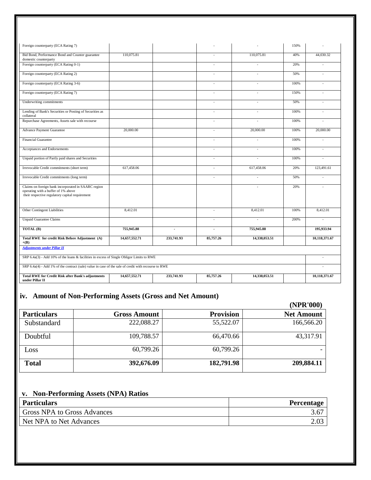| Foreign counterparty (ECA Rating 7)                                                                                                           |               |            |                          |                | 150%   |                |
|-----------------------------------------------------------------------------------------------------------------------------------------------|---------------|------------|--------------------------|----------------|--------|----------------|
| Bid Bond, Performance Bond and Counter guarantee<br>domestic counterparty                                                                     | 110,075.81    |            |                          | 110,075.81     | 40%    | 44,030.32      |
| Foreign counterparty (ECA Rating 0-1)                                                                                                         |               |            | ÷                        | $\overline{a}$ | 20%    | $\sim$         |
| Foreign counterparty (ECA Rating 2)                                                                                                           |               |            | ÷                        |                | 50%    |                |
| Foreign counterparty (ECA Rating 3-6)                                                                                                         |               |            | $\overline{a}$           | $\overline{a}$ | 100%   | $\sim$         |
| Foreign counterparty (ECA Rating 7)                                                                                                           |               |            | $\sim$                   | ٠              | 150%   |                |
| Underwriting commitments                                                                                                                      |               |            | $\overline{a}$           | $\overline{a}$ | 50%    |                |
| Lending of Bank's Securities or Posting of Securities as<br>collateral                                                                        |               |            | ÷.                       | ÷,             | 100%   | $\sim$         |
| Repurchase Agreements, Assets sale with recourse                                                                                              |               |            | $\sim$                   | L,             | 100%   |                |
| <b>Advance Payment Guarantee</b>                                                                                                              | 20,000.00     |            | $\overline{a}$           | 20,000.00      | 100%   | 20,000.00      |
| <b>Financial Guarantee</b>                                                                                                                    |               |            | $\overline{\phantom{a}}$ | $\overline{a}$ | 100%   |                |
| Acceptances and Endorsements                                                                                                                  |               |            | $\sim$                   | L.             | 100%   |                |
| Unpaid portion of Partly paid shares and Securities                                                                                           |               |            | ÷.                       | $\overline{a}$ | 100%   | $\overline{a}$ |
| Irrevocable Credit commitments (short term)                                                                                                   | 617,458.06    |            | $\sim$                   | 617,458.06     | 20%    | 123,491.61     |
| Irrevocable Credit commitments (long term)                                                                                                    |               |            | $\overline{a}$           | $\overline{a}$ | 50%    |                |
| Claims on foreign bank incorporated in SAARC region<br>operating with a buffer of 1% above<br>their respective regulatory capital requirement |               |            |                          | $\overline{a}$ | 20%    | $\sim$         |
| Other Contingent Liabilities                                                                                                                  | 8,412.01      |            | $\sim$                   | 8,412.01       | 100%   | 8,412.01       |
| <b>Unpaid Guarantee Claims</b>                                                                                                                |               |            | $\overline{a}$           | $\overline{a}$ | 200%   |                |
| TOTAL (B)                                                                                                                                     | 755,945.88    | ÷,         | ä,                       | 755,945.88     |        | 195,933,94     |
| Total RWE for credit Risk Before Adjustment (A)<br>$+(B)$                                                                                     | 14,657,552.71 | 233,741.93 | 85,757.26                | 14,338,053.51  |        | 10,118,371.67  |
| <b>Adjustments under Pillar II</b>                                                                                                            |               |            |                          |                |        |                |
| SRP 6.4a(3) - Add 10% of the loans & facilities in excess of Single Obligor Limits to RWE                                                     |               |            |                          |                | $\sim$ |                |
| SRP 6.4a(4) - Add 1% of the contract (sale) value in case of the sale of credit with recourse to RWE                                          |               |            |                          |                |        |                |
| <b>Total RWE for Credit Risk after Bank's adjustments</b><br>under Pillar II                                                                  | 14,657,552.71 | 233,741.93 | 85,757.26                | 14,338,053.51  |        | 10,118,371.67  |

# **iv. Amount of Non-Performing Assets (Gross and Net Amount)**

|                    |                     |                  | (NPR'000)         |
|--------------------|---------------------|------------------|-------------------|
| <b>Particulars</b> | <b>Gross Amount</b> | <b>Provision</b> | <b>Net Amount</b> |
| Substandard        | 222,088.27          | 55,522.07        | 166,566.20        |
| Doubtful           | 109,788.57          | 66,470.66        | 43,317.91         |
| Loss               | 60,799.26           | 60,799.26        |                   |
| <b>Total</b>       | 392,676.09          | 182,791.98       | 209,884.11        |

## **v. Non-Performing Assets (NPA) Ratios**

| <b>Particulars</b>                 | <b>Percentage</b> |
|------------------------------------|-------------------|
| <b>Gross NPA to Gross Advances</b> | 3.67              |
| Net NPA to Net Advances            |                   |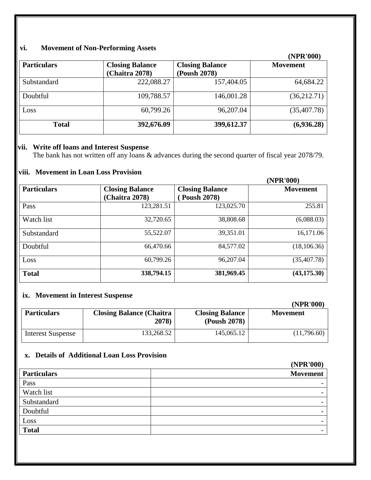# **vi. Movement of Non-Performing Assets**

|                    |                        |                        | (NPR'000)       |
|--------------------|------------------------|------------------------|-----------------|
| <b>Particulars</b> | <b>Closing Balance</b> | <b>Closing Balance</b> | <b>Movement</b> |
|                    | (Chaitra 2078)         | (Poush 2078)           |                 |
| Substandard        | 222,088.27             | 157,404.05             | 64,684.22       |
| Doubtful           | 109,788.57             | 146,001.28             | (36,212.71)     |
| Loss               | 60,799.26              | 96,207.04              | (35,407.78)     |
| <b>Total</b>       | 392,676.09             | 399,612.37             | (6,936.28)      |

## **vii. Write off loans and Interest Suspense**

The bank has not written off any loans & advances during the second quarter of fiscal year 2078/79.

# **viii. Movement in Loan Loss Provision**

|                    |                        |                        | (NPR'000)       |
|--------------------|------------------------|------------------------|-----------------|
| <b>Particulars</b> | <b>Closing Balance</b> | <b>Closing Balance</b> | <b>Movement</b> |
|                    | (Chaitra 2078)         | <b>Poush 2078)</b>     |                 |
| Pass               | 123,281.51             | 123,025.70             | 255.81          |
| Watch list         | 32,720.65              | 38,808.68              | (6,088.03)      |
| Substandard        | 55,522.07              | 39,351.01              | 16,171.06       |
| Doubtful           | 66,470.66              | 84,577.02              | (18, 106.36)    |
| Loss               | 60,799.26              | 96,207.04              | (35, 407.78)    |
| <b>Total</b>       | 338,794.15             | 381,969.45             | (43, 175.30)    |

## **ix. Movement in Interest Suspense**

|                          |                                          |                                        | (NPR'000)       |
|--------------------------|------------------------------------------|----------------------------------------|-----------------|
| <b>Particulars</b>       | <b>Closing Balance (Chaitra</b><br>2078) | <b>Closing Balance</b><br>(Poush 2078) | <b>Movement</b> |
| <b>Interest Suspense</b> | 133,268.52                               | 145,065.12                             | (11,796.60)     |

# **x. Details of Additional Loan Loss Provision**

|                    | (NPR'000)                |
|--------------------|--------------------------|
| <b>Particulars</b> | <b>Movement</b>          |
| Pass               |                          |
| Watch list         | $\overline{\phantom{0}}$ |
| Substandard        |                          |
| Doubtful           |                          |
| Loss               |                          |
| <b>Total</b>       |                          |